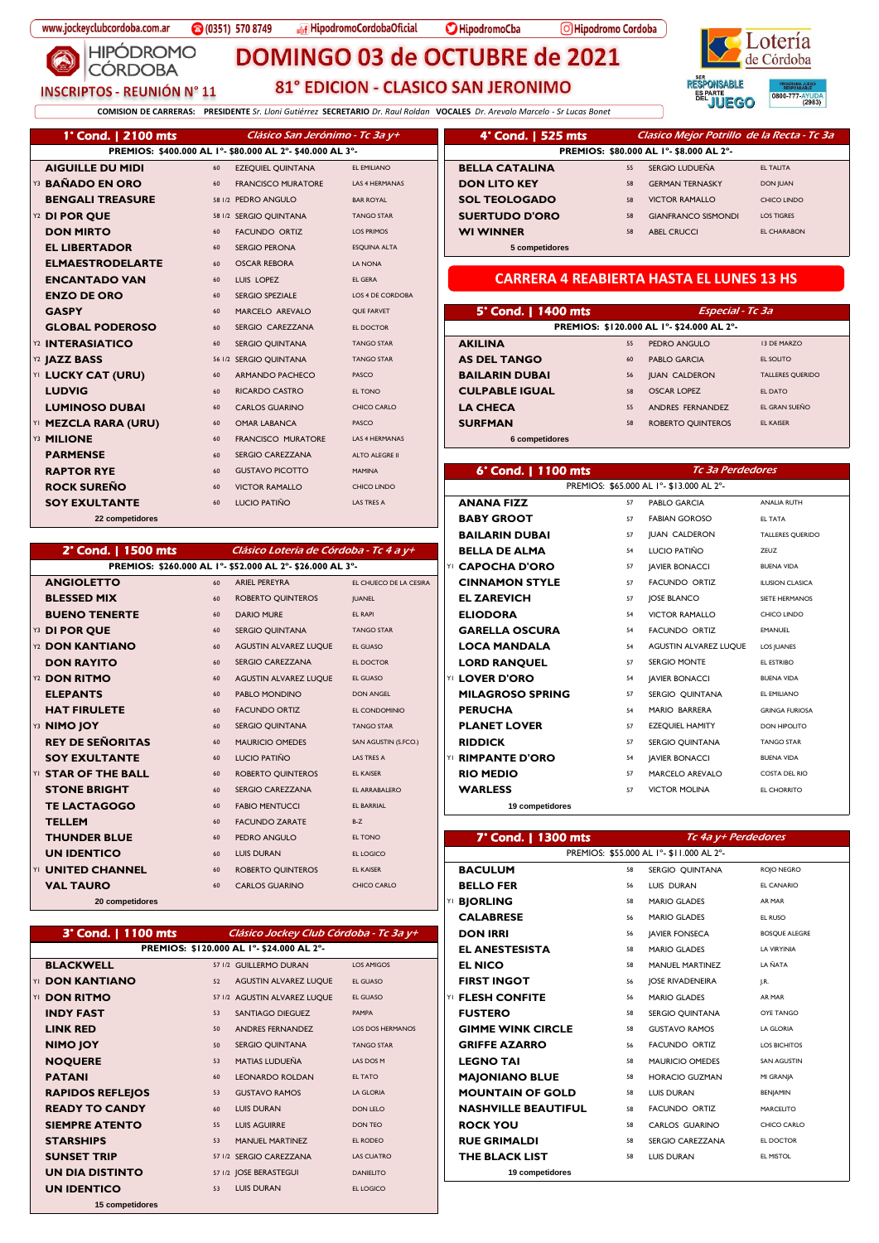**HIPÓDROMO** 

**CÓRDOBA** 

**INSCRIPTOS - REUNIÓN N° 11** 

**Infinite HipodromoCordobaOficial** 

HipodromoCba

O Hipodromo Cordoba



81° EDICION - CLASICO SAN JERONIMO

DOMINGO 03 de OCTUBRE de 2021

**COMISION DE CARRERAS: PRESIDENTE** *Sr. Lloni Gutiérrez* **SECRETARIO** *Dr. Raul Roldan* **VOCALES** *Dr. Arevalo Marcelo - Sr Lucas Bonet*

| 1° Cond.   2100 mts     |        | Clásico San Jerónimo - Tc 3a y+                           |                         | 4° Cond. 1 525 mts                              |    | Clasico Mejor Potrillo de la Recta - To   |                         |
|-------------------------|--------|-----------------------------------------------------------|-------------------------|-------------------------------------------------|----|-------------------------------------------|-------------------------|
|                         |        | PREMIOS: \$400.000 AL I°- \$80.000 AL 2°- \$40.000 AL 3°- |                         |                                                 |    | PREMIOS: \$80.000 AL I°- \$8.000 AL 2°-   |                         |
| <b>AIGUILLE DU MIDI</b> | 60     | <b>EZEQUIEL QUINTANA</b>                                  | EL EMILIANO             | <b>BELLA CATALINA</b>                           | 55 | SERGIO LUDUEÑA                            | <b>EL TALITA</b>        |
| <b>BAÑADO EN ORO</b>    | 60     | <b>FRANCISCO MURATORE</b>                                 | <b>LAS 4 HERMANAS</b>   | <b>DON LITO KEY</b>                             | 58 | <b>GERMAN TERNASKY</b>                    | <b>DON JUAN</b>         |
| <b>BENGALI TREASURE</b> |        | 58 1/2 PEDRO ANGULO                                       | <b>BAR ROYAL</b>        | <b>SOL TEOLOGADO</b>                            | 58 | <b>VICTOR RAMALLO</b>                     | CHICO LINDO             |
| Y2 DI POR OUE           |        | 58 I/2 SERGIO QUINTANA                                    | <b>TANGO STAR</b>       | <b>SUERTUDO D'ORO</b>                           | 58 | <b>GIANFRANCO SISMONDI</b>                | <b>LOS TIGRES</b>       |
| <b>DON MIRTO</b>        | 60     | <b>FACUNDO ORTIZ</b>                                      | <b>LOS PRIMOS</b>       | <b>WI WINNER</b>                                | 58 | <b>ABEL CRUCCI</b>                        | <b>EL CHARABON</b>      |
| <b>EL LIBERTADOR</b>    | 60     | <b>SERGIO PERONA</b>                                      | <b>ESQUINA ALTA</b>     | 5 competidores                                  |    |                                           |                         |
| <b>ELMAESTRODELARTE</b> | 60     | <b>OSCAR REBORA</b>                                       | <b>LA NONA</b>          |                                                 |    |                                           |                         |
| <b>ENCANTADO VAN</b>    | 60     | LUIS LOPEZ                                                | <b>EL GERA</b>          | <b>CARRERA 4 REABIERTA HASTA EL LUNES 13 HS</b> |    |                                           |                         |
| <b>ENZO DE ORO</b>      | 60     | <b>SERGIO SPEZIALE</b>                                    | <b>LOS 4 DE CORDOBA</b> |                                                 |    |                                           |                         |
| <b>GASPY</b>            | 60     | MARCELO AREVALO                                           | <b>QUE FARVET</b>       | 5° Cond.   1400 mts                             |    | <b>Especial - Tc 3a</b>                   |                         |
| <b>GLOBAL PODEROSO</b>  | 60     | SERGIO CAREZZANA                                          | EL DOCTOR               |                                                 |    | PREMIOS: \$120.000 AL 1°- \$24.000 AL 2°- |                         |
| Y2 INTERASIATICO        | 60     | <b>SERGIO OUINTANA</b>                                    | <b>TANGO STAR</b>       | <b>AKILINA</b>                                  | 55 | <b>PEDRO ANGULO</b>                       | <b>13 DE MARZO</b>      |
| Y2 JAZZ BASS            | 56 1/2 | <b>SERGIO QUINTANA</b>                                    | <b>TANGO STAR</b>       | <b>AS DEL TANGO</b>                             | 60 | <b>PABLO GARCIA</b>                       | EL SOLITO               |
| YI LUCKY CAT (URU)      | 60     | <b>ARMANDO PACHECO</b>                                    | PASCO                   | <b>BAILARIN DUBAI</b>                           | 56 | <b>IUAN CALDERON</b>                      | <b>TALLERES QUERIDO</b> |
| <b>LUDVIG</b>           | 60     | <b>RICARDO CASTRO</b>                                     | EL TONO                 | <b>CULPABLE IGUAL</b>                           | 58 | <b>OSCAR LOPEZ</b>                        | EL DATO                 |
| <b>LUMINOSO DUBAI</b>   | 60     | <b>CARLOS GUARINO</b>                                     | CHICO CARLO             | <b>LA CHECA</b>                                 | 55 | ANDRES FERNANDEZ                          | EL GRAN SUEÑO           |
| YI MEZCLA RARA (URU)    | 60     | <b>OMAR LABANCA</b>                                       | PASCO                   | <b>SURFMAN</b>                                  | 58 | <b>ROBERTO QUINTEROS</b>                  | <b>EL KAISER</b>        |
| Y3 MILIONE              | 60     | <b>FRANCISCO MURATORE</b>                                 | <b>LAS 4 HERMANAS</b>   | 6 competidores                                  |    |                                           |                         |
| <b>PARMENSE</b>         | 60     | <b>SERGIO CAREZZANA</b>                                   | <b>ALTO ALEGRE II</b>   |                                                 |    |                                           |                         |
| <b>RAPTOR RYE</b>       | 60     | <b>GUSTAVO PICOTTO</b>                                    | <b>MAMINA</b>           | 6° Cond.   1100 mts                             |    | Tc 3a Perdedores                          |                         |
| <b>ROCK SUREÑO</b>      | 60     | <b>VICTOR RAMALLO</b>                                     | CHICO LINDO             |                                                 |    | PREMIOS: \$65.000 AL I°- \$13.000 AL 2°-  |                         |
| <b>SOY EXULTANTE</b>    | 60     | LUCIO PATIÑO                                              | LAS TRES A              | <b>ANANA FIZZ</b>                               | 57 | PABLO GARCIA                              | <b>ANALIA RUTH</b>      |
| 22 composidores         |        |                                                           |                         | <b>DADV CDOOT</b>                               | 57 | EADIAN COROCO                             | EL TATA                 |

## 2° Cond. | 1500 mts Clásico Loteria de Córdoba - Tc 4 a y+

|                               |    | PREMIOS: \$260.000 AL I°- \$52.000 AL 2°- \$26.000 AL 3°- |                        | YI CAPOCHA D'ORO            | 57           | <b>JAVIER BONACCI</b>                    | <b>BUENA VIDA</b>      |
|-------------------------------|----|-----------------------------------------------------------|------------------------|-----------------------------|--------------|------------------------------------------|------------------------|
| <b>ANGIOLETTO</b>             | 60 | <b>ARIEL PEREYRA</b>                                      | EL CHUECO DE LA CESIRA | <b>CINNAMON STYLE</b>       | 57           | <b>FACUNDO ORTIZ</b>                     | <b>ILUSION CLASICA</b> |
| <b>BLESSED MIX</b>            | 60 | <b>ROBERTO QUINTEROS</b>                                  | <b>JUANEL</b>          | <b>EL ZAREVICH</b>          | 57           | <b>IOSE BLANCO</b>                       | SIETE HERMANOS         |
| <b>BUENO TENERTE</b>          | 60 | <b>DARIO MURE</b>                                         | <b>EL RAPI</b>         | <b>ELIODORA</b>             | 54           | <b>VICTOR RAMALLO</b>                    | CHICO LINDO            |
| Y3 DI POR QUE                 | 60 | <b>SERGIO OUINTANA</b>                                    | <b>TANGO STAR</b>      | <b>GARELLA OSCURA</b>       | 54           | <b>FACUNDO ORTIZ</b>                     | <b>EMANUEL</b>         |
| Y2 DON KANTIANO               | 60 | AGUSTIN ALVAREZ LUQUE                                     | EL GUASO               | <b>LOCA MANDALA</b>         | 54           | AGUSTIN ALVAREZ LUQUE                    | <b>LOS JUANES</b>      |
| <b>DON RAYITO</b>             | 60 | <b>SERGIO CAREZZANA</b>                                   | EL DOCTOR              | <b>LORD RANOUEL</b>         | 57           | <b>SERGIO MONTE</b>                      | EL ESTRIBO             |
| Y2 DON RITMO                  | 60 | AGUSTIN ALVAREZ LUQUE                                     | EL GUASO               | YI LOVER D'ORO              | 54           | <b>JAVIER BONACCI</b>                    | <b>BUENA VIDA</b>      |
| <b>ELEPANTS</b>               | 60 | PABLO MONDINO                                             | <b>DON ANGEL</b>       | <b>MILAGROSO SPRING</b>     | 57           | SERGIO QUINTANA                          | EL EMILIANO            |
| <b>HAT FIRULETE</b>           | 60 | <b>FACUNDO ORTIZ</b>                                      | EL CONDOMINIO          | <b>PERUCHA</b>              | 54           | <b>MARIO BARRERA</b>                     | <b>GRINGA FURIOSA</b>  |
| Y3 NIMO JOY                   | 60 | <b>SERGIO OUINTANA</b>                                    | <b>TANGO STAR</b>      | <b>PLANET LOVER</b>         | 57           | <b>EZEOUIEL HAMITY</b>                   | DON HIPOLITO           |
| <b>REY DE SEÑORITAS</b>       | 60 | <b>MAURICIO OMEDES</b>                                    | SAN AGUSTIN (S.FCO.)   | <b>RIDDICK</b>              | 57           | <b>SERGIO QUINTANA</b>                   | <b>TANGO STAR</b>      |
| <b>SOY EXULTANTE</b>          | 60 | LUCIO PATIÑO                                              | LAS TRES A             | <b>RIMPANTE D'ORO</b><br>YI | 54           | <b>JAVIER BONACCI</b>                    | <b>BUENA VIDA</b>      |
| <b>STAR OF THE BALL</b><br>YI | 60 | <b>ROBERTO QUINTEROS</b>                                  | <b>EL KAISER</b>       | <b>RIO MEDIO</b>            | 57           | <b>MARCELO AREVALO</b>                   | <b>COSTA DEL RIO</b>   |
| <b>STONE BRIGHT</b>           | 60 | <b>SERGIO CAREZZANA</b>                                   | EL ARRABALERO          | <b>WARLESS</b>              | 57           | <b>VICTOR MOLINA</b>                     | EL CHORRITO            |
| <b>TE LACTAGOGO</b>           | 60 | <b>FABIO MENTUCCI</b>                                     | <b>EL BARRIAL</b>      | 19 competidores             |              |                                          |                        |
| <b>TELLEM</b>                 | 60 | <b>FACUNDO ZARATE</b>                                     | $B-Z$                  |                             |              |                                          |                        |
| <b>THUNDER BLUE</b>           | 60 | PEDRO ANGULO                                              | EL TONO                | 7° Cond.   1300 mts         |              | Tc 4a y+ Perdedores                      |                        |
| <b>UN IDENTICO</b>            | 60 | <b>LUIS DURAN</b>                                         | EL LOGICO              |                             |              | PREMIOS: \$55,000 AL 1°- \$11,000 AL 2°- |                        |
| <b>UNITED CHANNEL</b><br>YI   | 60 | <b>ROBERTO QUINTEROS</b>                                  | <b>EL KAISER</b>       | <b>BACULUM</b>              | 58           | SERGIO QUINTANA                          | ROJO NEGRO             |
| <b>VAL TAURO</b>              | 60 | <b>CARLOS GUARINO</b>                                     | <b>CHICO CARLO</b>     | <b>BELLO FER</b>            | 56           | LUIS DURAN                               | <b>EL CANARIO</b>      |
| 20 composidores               |    |                                                           |                        | $\vee$ DIODI INC.           | $\mathbf{c}$ | MADIO CLADEC                             | AD MAD                 |

#### **PREMIOS: \$120.000 AL 1º- \$24.000 AL 2º-**3° Cond. | 1100 mts Clásico Jockey Club Córdoba - Tc 3a y+

| <b>BLACKWELL</b>        |    | 57 1/2 GUILLERMO DURAN       | <b>LOS AMIGOS</b>       | <b>EL NICO</b>             | 58 | <b>MANUEL MARTINEZ</b>  | LA ÑATA             |
|-------------------------|----|------------------------------|-------------------------|----------------------------|----|-------------------------|---------------------|
| YI DON KANTIANO         | 52 | AGUSTIN ALVAREZ LUQUE        | <b>EL GUASO</b>         | <b>FIRST INGOT</b>         | 56 | <b>JOSE RIVADENEIRA</b> | J.R.                |
| <b>DON RITMO</b>        |    | 57 1/2 AGUSTIN ALVAREZ LUQUE | <b>EL GUASO</b>         | <b>FLESH CONFITE</b>       | 56 | <b>MARIO GLADES</b>     | AR MAR              |
| <b>INDY FAST</b>        | 53 | <b>SANTIAGO DIEGUEZ</b>      | PAMPA                   | <b>FUSTERO</b>             | 58 | SERGIO QUINTANA         | <b>OYE TANGO</b>    |
| <b>LINK RED</b>         | 50 | <b>ANDRES FERNANDEZ</b>      | <b>LOS DOS HERMANOS</b> | <b>GIMME WINK CIRCLE</b>   | 58 | <b>GUSTAVO RAMOS</b>    | LA GLORIA           |
| NIMO JOY                | 50 | <b>SERGIO QUINTANA</b>       | <b>TANGO STAR</b>       | <b>GRIFFE AZARRO</b>       | 56 | <b>FACUNDO ORTIZ</b>    | <b>LOS BICHITOS</b> |
| <b>NOQUERE</b>          | 53 | <b>MATIAS LUDUEÑA</b>        | LAS DOS M               | <b>LEGNO TAI</b>           | 58 | <b>MAURICIO OMEDES</b>  | <b>SAN AGUSTIN</b>  |
| <b>PATANI</b>           | 60 | <b>LEONARDO ROLDAN</b>       | EL TATO                 | <b>MAJONIANO BLUE</b>      | 58 | <b>HORACIO GUZMAN</b>   | MI GRANJA           |
| <b>RAPIDOS REFLEJOS</b> | 53 | <b>GUSTAVO RAMOS</b>         | <b>LA GLORIA</b>        | <b>MOUNTAIN OF GOLD</b>    | 58 | LUIS DURAN              | BENJAMIN            |
| <b>READY TO CANDY</b>   | 60 | LUIS DURAN                   | DON LELO                | <b>NASHVILLE BEAUTIFUL</b> | 58 | <b>FACUNDO ORTIZ</b>    | MARCELITO           |
| <b>SIEMPRE ATENTO</b>   | 55 | <b>LUIS AGUIRRE</b>          | DON TEO                 | <b>ROCK YOU</b>            | 58 | <b>CARLOS GUARINO</b>   | CHICO CARLC         |
| <b>STARSHIPS</b>        | 53 | <b>MANUEL MARTINEZ</b>       | EL RODEO                | <b>RUE GRIMALDI</b>        | 58 | SERGIO CAREZZANA        | EL DOCTOR           |
| <b>SUNSET TRIP</b>      |    | 57 1/2 SERGIO CAREZZANA      | <b>LAS CUATRO</b>       | THE BLACK LIST             | 58 | <b>LUIS DURAN</b>       | EL MISTOL           |
| UN DIA DISTINTO         |    | 57 1/2 JOSE BERASTEGUI       | <b>DANIELITO</b>        | 19 competidores            |    |                         |                     |
| <b>UN IDENTICO</b>      | 53 | <b>LUIS DURAN</b>            | EL LOGICO               |                            |    |                         |                     |
| 15 competidores         |    |                              |                         |                            |    |                         |                     |

| 4° Cond.   525 mts    |    | Clasico Mejor Potrillo de la Recta - Tc 3a |                    |  |  |  |  |
|-----------------------|----|--------------------------------------------|--------------------|--|--|--|--|
|                       |    | PREMIOS: \$80.000 AL I°- \$8.000 AL 2°-    |                    |  |  |  |  |
| <b>BELLA CATALINA</b> | 55 | SERGIO LUDUEÑA                             | <b>EL TALITA</b>   |  |  |  |  |
| <b>DON LITO KEY</b>   | 58 | <b>GERMAN TERNASKY</b>                     | <b>DON JUAN</b>    |  |  |  |  |
| <b>SOL TEOLOGADO</b>  | 58 | <b>VICTOR RAMALLO</b>                      | CHICO LINDO        |  |  |  |  |
| <b>SUERTUDO D'ORO</b> | 58 | <b>GIANFRANCO SISMONDI</b>                 | <b>LOS TIGRES</b>  |  |  |  |  |
| <b>WI WINNER</b>      | 58 | <b>ABEL CRUCCI</b>                         | <b>EL CHARABON</b> |  |  |  |  |
| 5 competidores        |    |                                            |                    |  |  |  |  |

### **CARRERA 4 REABIERTA HASTA EL LUNES 13 HS**

| 5° Cond.   1400 mts   |    | <b>Especial - Tc 3a</b>                 |                         |  |  |  |
|-----------------------|----|-----------------------------------------|-------------------------|--|--|--|
|                       |    | PREMIOS: \$120.000 AL 1° \$24.000 AL 2° |                         |  |  |  |
| <b>AKILINA</b>        | 55 | PEDRO ANGULO                            | 13 DE MARZO             |  |  |  |
| <b>AS DEL TANGO</b>   | 60 | <b>PABLO GARCIA</b>                     | EL SOLITO               |  |  |  |
| <b>BAILARIN DUBAI</b> | 56 | <b>JUAN CALDERON</b>                    | <b>TALLERES OUERIDO</b> |  |  |  |
| <b>CULPABLE IGUAL</b> | 58 | <b>OSCAR LOPEZ</b>                      | EL DATO                 |  |  |  |
| <b>LA CHECA</b>       | 55 | ANDRES FERNANDEZ                        | EL GRAN SUEÑO           |  |  |  |
| <b>SURFMAN</b>        | 58 | <b>ROBERTO OUINTEROS</b>                | <b>EL KAISER</b>        |  |  |  |
|                       |    |                                         |                         |  |  |  |

| <b>RYE</b>      | 60 | <b>GUSTAVO PICOTTO</b>                                       | <b>MAMINA</b>          | 6° Cond.   1100 mts<br>Tc 3a Perdedores |    |                                          |                         |  |
|-----------------|----|--------------------------------------------------------------|------------------------|-----------------------------------------|----|------------------------------------------|-------------------------|--|
| REÑO            | 60 | <b>VICTOR RAMALLO</b>                                        | CHICO LINDO            |                                         |    | PREMIOS: \$65.000 AL I°- \$13.000 AL 2°- |                         |  |
| <b>LTANTE</b>   | 60 | LUCIO PATIÑO                                                 | LAS TRES A             | <b>ANANA FIZZ</b>                       | 57 | <b>PABLO GARCIA</b>                      | <b>ANALIA RUTH</b>      |  |
| 22 competidores |    |                                                              |                        | <b>BABY GROOT</b>                       | 57 | <b>FABIAN GOROSO</b>                     | <b>EL TATA</b>          |  |
|                 |    |                                                              |                        | <b>BAILARIN DUBAI</b>                   | 57 | <b>JUAN CALDERON</b>                     | <b>TALLERES QUERIDO</b> |  |
| าd.   1500 mts  |    | Clásico Loteria de Córdoba - Tc 4 a y+                       |                        | <b>BELLA DE ALMA</b>                    | 54 | LUCIO PATIÑO                             | ZEUZ                    |  |
|                 |    | PREMIOS: \$260.000 AL I° - \$52.000 AL 2° - \$26.000 AL 3° - |                        | YI CAPOCHA D'ORO                        | 57 | <b>JAVIER BONACCI</b>                    | <b>BUENA VIDA</b>       |  |
| <b>TTO</b>      | 60 | <b>ARIEL PEREYRA</b>                                         | EL CHUECO DE LA CESIRA | <b>CINNAMON STYLE</b>                   | 57 | <b>FACUNDO ORTIZ</b>                     | <b>ILUSION CLASICA</b>  |  |
| <b>MIX</b>      | 60 | <b>ROBERTO QUINTEROS</b>                                     | <b>JUANEL</b>          | <b>EL ZAREVICH</b>                      | 57 | <b>JOSE BLANCO</b>                       | SIETE HERMANOS          |  |
| <b>ENERTE</b>   | 60 | <b>DARIO MURE</b>                                            | <b>EL RAPI</b>         | <b>ELIODORA</b>                         | 54 | <b>VICTOR RAMALLO</b>                    | CHICO LINDO             |  |
| UE              | 60 | <b>SERGIO OUINTANA</b>                                       | <b>TANGO STAR</b>      | <b>GARELLA OSCURA</b>                   | 54 | <b>FACUNDO ORTIZ</b>                     | <b>EMANUEL</b>          |  |
| OUAITI          | 60 | <b>AGUSTIN ALVAREZ LUOUE</b>                                 | EL GUASO               | <b>LOCA MANDALA</b>                     | 54 | <b>AGUSTIN ALVAREZ LUOUE</b>             | LOS JUANES              |  |
| ΊΤΟ             | 60 | <b>SERGIO CAREZZANA</b>                                      | EL DOCTOR              | <b>LORD RANQUEL</b>                     | 57 | <b>SERGIO MONTE</b>                      | EL ESTRIBO              |  |
| мо              | 60 | AGUSTIN ALVAREZ LUQUE                                        | EL GUASO               | YI LOVER D'ORO                          | 54 | <b>JAVIER BONACCI</b>                    | <b>BUENA VIDA</b>       |  |
| <b>S</b>        | 60 | PABLO MONDINO                                                | <b>DON ANGEL</b>       | <b>MILAGROSO SPRING</b>                 | 57 | SERGIO QUINTANA                          | EL EMILIANO             |  |
| JLETE           | 60 | <b>FACUNDO ORTIZ</b>                                         | EL CONDOMINIO          | <b>PERUCHA</b>                          | 54 | <b>MARIO BARRERA</b>                     | <b>GRINGA FURIOSA</b>   |  |
|                 | 60 | <b>SERGIO QUINTANA</b>                                       | <b>TANGO STAR</b>      | <b>PLANET LOVER</b>                     | 57 | <b>EZEQUIEL HAMITY</b>                   | DON HIPOLITO            |  |
| EÑORITAS        | 60 | <b>MAURICIO OMEDES</b>                                       | SAN AGUSTIN (S.FCO.)   | <b>RIDDICK</b>                          | 57 | <b>SERGIO QUINTANA</b>                   | <b>TANGO STAR</b>       |  |
| <b>LTANTE</b>   | 60 | LUCIO PATIÑO                                                 | LAS TRES A             | YI RIMPANTE D'ORO                       | 54 | <b>JAVIER BONACCI</b>                    | <b>BUENA VIDA</b>       |  |
| <b>THE BALL</b> | 60 | <b>ROBERTO QUINTEROS</b>                                     | <b>EL KAISER</b>       | <b>RIO MEDIO</b>                        | 57 | <b>MARCELO AREVALO</b>                   | <b>COSTA DEL RIO</b>    |  |
| RIGHT           | 60 | <b>SERGIO CAREZZANA</b>                                      | EL ARRABALERO          | <b>WARLESS</b>                          | 57 | <b>VICTOR MOLINA</b>                     | <b>EL CHORRITO</b>      |  |
| LGOGO           | 60 | <b>FARIO MENTUCCL</b>                                        | <b>EL BARRIAL</b>      | 19 competidores                         |    |                                          |                         |  |

| <b>R BLUE</b>   | 60 | <b>PEDRO ANGULO</b>                       | EL TONO           | 7° Cond.   1300 mts        |    | Tc 4a y+ Perdedores                      |                           |
|-----------------|----|-------------------------------------------|-------------------|----------------------------|----|------------------------------------------|---------------------------|
| <b>TICO</b>     | 60 | LUIS DURAN                                | EL LOGICO         |                            |    | PREMIOS: \$55,000 AL 1°- \$11,000 AL 2°- |                           |
| CHANNEL         | 60 | <b>ROBERTO QUINTEROS</b>                  | <b>EL KAISER</b>  | <b>BACULUM</b>             | 58 | SERGIO QUINTANA                          | ROJO NEGRO                |
| RO.             | 60 | <b>CARLOS GUARINO</b>                     | CHICO CARLO       | <b>BELLO FER</b>           | 56 | LUIS DURAN                               | EL CANARIO                |
| 20 competidores |    |                                           |                   | YI BIORLING                | 58 | <b>MARIO GLADES</b>                      | AR MAR                    |
|                 |    |                                           |                   | <b>CALABRESE</b>           | 56 | <b>MARIO GLADES</b>                      | EL RUSO                   |
| าd.   1100 mts  |    | Clásico Jockey Club Córdoba - Tc 3a y+    |                   | <b>DON IRRI</b>            | 56 | <b>JAVIER FONSECA</b>                    | <b>BOSQUE ALEGRE</b>      |
|                 |    | PREMIOS: \$120.000 AL 1°- \$24.000 AL 2°- |                   | <b>EL ANESTESISTA</b>      | 58 | <b>MARIO GLADES</b>                      | LA VIRYINIA               |
| ELL             |    | 57 1/2 GUILLERMO DURAN                    | LOS AMIGOS        | <b>EL NICO</b>             | 58 | <b>MANUEL MARTINEZ</b>                   | LA ÑATA                   |
| OUAITL          | 52 | <b>AGUSTIN ALVAREZ LUOUE</b>              | EL GUASO          | <b>FIRST INGOT</b>         | 56 | <b>JOSE RIVADENEIRA</b>                  | $\mathsf{I}.\mathsf{R}$ . |
| мо              |    | 57 1/2 AGUSTIN ALVAREZ LUQUE              | EL GUASO          | YI FLESH CONFITE           | 56 | <b>MARIO GLADES</b>                      | AR MAR                    |
| ìТ.             | 53 | SANTIAGO DIEGUEZ                          | PAMPA             | <b>FUSTERO</b>             | 58 | SERGIO QUINTANA                          | OYE TANGO                 |
|                 | 50 | <b>ANDRES FERNANDEZ</b>                   | LOS DOS HERMANOS  | <b>GIMME WINK CIRCLE</b>   | 58 | <b>GUSTAVO RAMOS</b>                     | LA GLORIA                 |
|                 | 50 | <b>SERGIO QUINTANA</b>                    | <b>TANGO STAR</b> | <b>GRIFFE AZARRO</b>       | 56 | <b>FACUNDO ORTIZ</b>                     | <b>LOS BICHITOS</b>       |
| E               | 53 | <b>MATIAS LUDUEÑA</b>                     | LAS DOS M         | <b>LEGNO TAI</b>           | 58 | <b>MAURICIO OMEDES</b>                   | SAN AGUSTIN               |
|                 | 60 | <b>LEONARDO ROLDAN</b>                    | <b>EL TATO</b>    | <b>MAJONIANO BLUE</b>      | 58 | <b>HORACIO GUZMAN</b>                    | MI GRANJA                 |
| <b>REFLEJOS</b> | 53 | <b>GUSTAVO RAMOS</b>                      | <b>LA GLORIA</b>  | <b>MOUNTAIN OF GOLD</b>    | 58 | <b>LUIS DURAN</b>                        | <b>BENJAMIN</b>           |
| O CANDY         | 60 | <b>LUIS DURAN</b>                         | DON LELO          | <b>NASHVILLE BEAUTIFUL</b> | 58 | <b>FACUNDO ORTIZ</b>                     | MARCELITO                 |
| <b>ATENTO</b>   | 55 | <b>LUIS AGUIRRE</b>                       | <b>DON TEO</b>    | <b>ROCK YOU</b>            | 58 | CARLOS GUARINO                           | CHICO CARLO               |
| PS              | 53 | <b>MANUEL MARTINEZ</b>                    | <b>EL RODEO</b>   | <b>RUE GRIMALDI</b>        | 58 | <b>SERGIO CAREZZANA</b>                  | EL DOCTOR                 |
| TRIP            |    | 57 1/2 SERGIO CAREZZANA                   | <b>LAS CUATRO</b> | <b>THE BLACK LIST</b>      | 58 | <b>LUIS DURAN</b>                        | EL MISTOL                 |
| <b>ICTINITA</b> |    | 57 LD LOCE REPACTECLIL                    | <b>DANIELITO</b>  | 10 composidores            |    |                                          |                           |